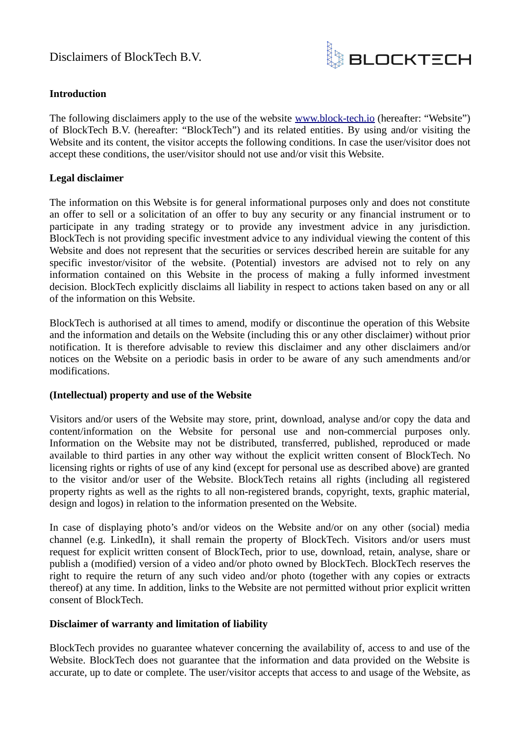

# **Introduction**

The following disclaimers apply to the use of the website [www.block-tech.io](http://www.block-tech.io/) (hereafter: "Website") of BlockTech B.V. (hereafter: "BlockTech") and its related entities. By using and/or visiting the Website and its content, the visitor accepts the following conditions. In case the user/visitor does not accept these conditions, the user/visitor should not use and/or visit this Website.

## **Legal disclaimer**

The information on this Website is for general informational purposes only and does not constitute an offer to sell or a solicitation of an offer to buy any security or any financial instrument or to participate in any trading strategy or to provide any investment advice in any jurisdiction. BlockTech is not providing specific investment advice to any individual viewing the content of this Website and does not represent that the securities or services described herein are suitable for any specific investor/visitor of the website. (Potential) investors are advised not to rely on any information contained on this Website in the process of making a fully informed investment decision. BlockTech explicitly disclaims all liability in respect to actions taken based on any or all of the information on this Website.

BlockTech is authorised at all times to amend, modify or discontinue the operation of this Website and the information and details on the Website (including this or any other disclaimer) without prior notification. It is therefore advisable to review this disclaimer and any other disclaimers and/or notices on the Website on a periodic basis in order to be aware of any such amendments and/or modifications.

## **(Intellectual) property and use of the Website**

Visitors and/or users of the Website may store, print, download, analyse and/or copy the data and content/information on the Website for personal use and non-commercial purposes only. Information on the Website may not be distributed, transferred, published, reproduced or made available to third parties in any other way without the explicit written consent of BlockTech. No licensing rights or rights of use of any kind (except for personal use as described above) are granted to the visitor and/or user of the Website. BlockTech retains all rights (including all registered property rights as well as the rights to all non-registered brands, copyright, texts, graphic material, design and logos) in relation to the information presented on the Website.

In case of displaying photo's and/or videos on the Website and/or on any other (social) media channel (e.g. LinkedIn), it shall remain the property of BlockTech. Visitors and/or users must request for explicit written consent of BlockTech, prior to use, download, retain, analyse, share or publish a (modified) version of a video and/or photo owned by BlockTech. BlockTech reserves the right to require the return of any such video and/or photo (together with any copies or extracts thereof) at any time. In addition, links to the Website are not permitted without prior explicit written consent of BlockTech.

## **Disclaimer of warranty and limitation of liability**

BlockTech provides no guarantee whatever concerning the availability of, access to and use of the Website. BlockTech does not guarantee that the information and data provided on the Website is accurate, up to date or complete. The user/visitor accepts that access to and usage of the Website, as